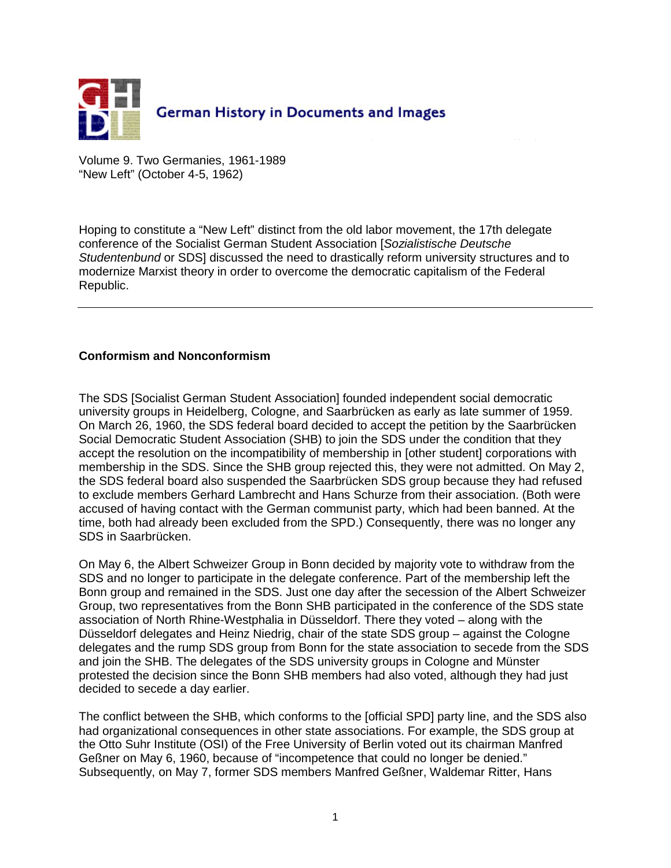

Volume 9. Two Germanies, 1961-1989 "New Left" (October 4-5, 1962)

Hoping to constitute a "New Left" distinct from the old labor movement, the 17th delegate conference of the Socialist German Student Association [Sozialistische Deutsche Studentenbund or SDS] discussed the need to drastically reform university structures and to modernize Marxist theory in order to overcome the democratic capitalism of the Federal Republic.

## **Conformism and Nonconformism**

The SDS [Socialist German Student Association] founded independent social democratic university groups in Heidelberg, Cologne, and Saarbrücken as early as late summer of 1959. On March 26, 1960, the SDS federal board decided to accept the petition by the Saarbrücken Social Democratic Student Association (SHB) to join the SDS under the condition that they accept the resolution on the incompatibility of membership in [other student] corporations with membership in the SDS. Since the SHB group rejected this, they were not admitted. On May 2, the SDS federal board also suspended the Saarbrücken SDS group because they had refused to exclude members Gerhard Lambrecht and Hans Schurze from their association. (Both were accused of having contact with the German communist party, which had been banned. At the time, both had already been excluded from the SPD.) Consequently, there was no longer any SDS in Saarbrücken.

On May 6, the Albert Schweizer Group in Bonn decided by majority vote to withdraw from the SDS and no longer to participate in the delegate conference. Part of the membership left the Bonn group and remained in the SDS. Just one day after the secession of the Albert Schweizer Group, two representatives from the Bonn SHB participated in the conference of the SDS state association of North Rhine-Westphalia in Düsseldorf. There they voted – along with the Düsseldorf delegates and Heinz Niedrig, chair of the state SDS group – against the Cologne delegates and the rump SDS group from Bonn for the state association to secede from the SDS and join the SHB. The delegates of the SDS university groups in Cologne and Münster protested the decision since the Bonn SHB members had also voted, although they had just decided to secede a day earlier.

The conflict between the SHB, which conforms to the [official SPD] party line, and the SDS also had organizational consequences in other state associations. For example, the SDS group at the Otto Suhr Institute (OSI) of the Free University of Berlin voted out its chairman Manfred Geßner on May 6, 1960, because of "incompetence that could no longer be denied." Subsequently, on May 7, former SDS members Manfred Geßner, Waldemar Ritter, Hans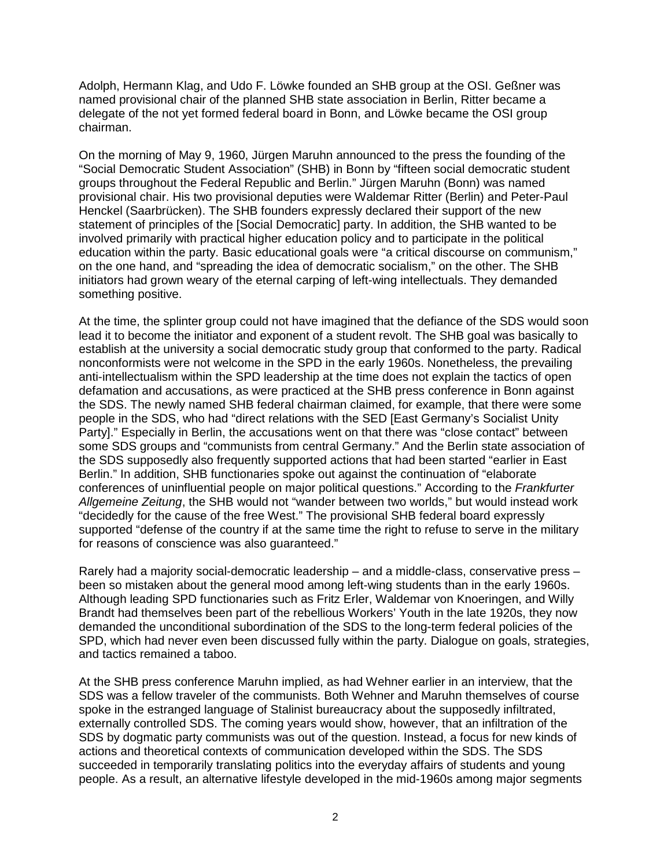Adolph, Hermann Klag, and Udo F. Löwke founded an SHB group at the OSI. Geßner was named provisional chair of the planned SHB state association in Berlin, Ritter became a delegate of the not yet formed federal board in Bonn, and Löwke became the OSI group chairman.

On the morning of May 9, 1960, Jürgen Maruhn announced to the press the founding of the "Social Democratic Student Association" (SHB) in Bonn by "fifteen social democratic student groups throughout the Federal Republic and Berlin." Jürgen Maruhn (Bonn) was named provisional chair. His two provisional deputies were Waldemar Ritter (Berlin) and Peter-Paul Henckel (Saarbrücken). The SHB founders expressly declared their support of the new statement of principles of the [Social Democratic] party. In addition, the SHB wanted to be involved primarily with practical higher education policy and to participate in the political education within the party. Basic educational goals were "a critical discourse on communism," on the one hand, and "spreading the idea of democratic socialism," on the other. The SHB initiators had grown weary of the eternal carping of left-wing intellectuals. They demanded something positive.

At the time, the splinter group could not have imagined that the defiance of the SDS would soon lead it to become the initiator and exponent of a student revolt. The SHB goal was basically to establish at the university a social democratic study group that conformed to the party. Radical nonconformists were not welcome in the SPD in the early 1960s. Nonetheless, the prevailing anti-intellectualism within the SPD leadership at the time does not explain the tactics of open defamation and accusations, as were practiced at the SHB press conference in Bonn against the SDS. The newly named SHB federal chairman claimed, for example, that there were some people in the SDS, who had "direct relations with the SED [East Germany's Socialist Unity Party]." Especially in Berlin, the accusations went on that there was "close contact" between some SDS groups and "communists from central Germany." And the Berlin state association of the SDS supposedly also frequently supported actions that had been started "earlier in East Berlin." In addition, SHB functionaries spoke out against the continuation of "elaborate conferences of uninfluential people on major political questions." According to the Frankfurter Allgemeine Zeitung, the SHB would not "wander between two worlds," but would instead work "decidedly for the cause of the free West." The provisional SHB federal board expressly supported "defense of the country if at the same time the right to refuse to serve in the military for reasons of conscience was also guaranteed."

Rarely had a majority social-democratic leadership – and a middle-class, conservative press – been so mistaken about the general mood among left-wing students than in the early 1960s. Although leading SPD functionaries such as Fritz Erler, Waldemar von Knoeringen, and Willy Brandt had themselves been part of the rebellious Workers' Youth in the late 1920s, they now demanded the unconditional subordination of the SDS to the long-term federal policies of the SPD, which had never even been discussed fully within the party. Dialogue on goals, strategies, and tactics remained a taboo.

At the SHB press conference Maruhn implied, as had Wehner earlier in an interview, that the SDS was a fellow traveler of the communists. Both Wehner and Maruhn themselves of course spoke in the estranged language of Stalinist bureaucracy about the supposedly infiltrated, externally controlled SDS. The coming years would show, however, that an infiltration of the SDS by dogmatic party communists was out of the question. Instead, a focus for new kinds of actions and theoretical contexts of communication developed within the SDS. The SDS succeeded in temporarily translating politics into the everyday affairs of students and young people. As a result, an alternative lifestyle developed in the mid-1960s among major segments